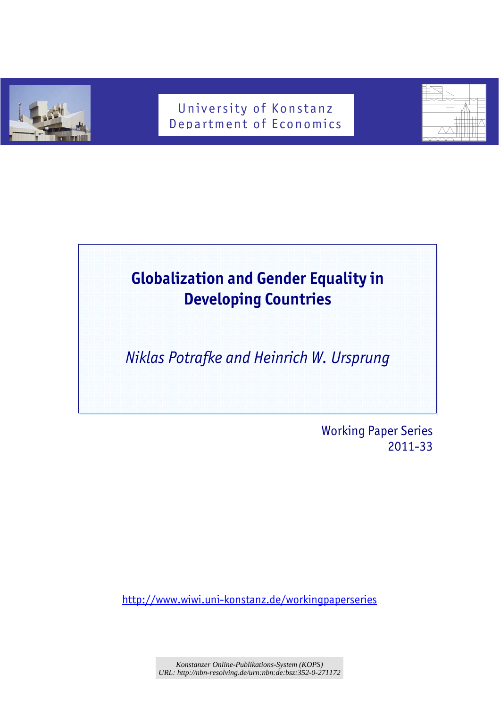

# University of Konstanz Department of Economics



# **Globalization and Gender Equality in Developing Countries**

*Niklas Potrafke and Heinrich W. Ursprung* 

 Working Paper Series 2011-33

http://www.wiwi.uni-konstanz.de/workingpaperseries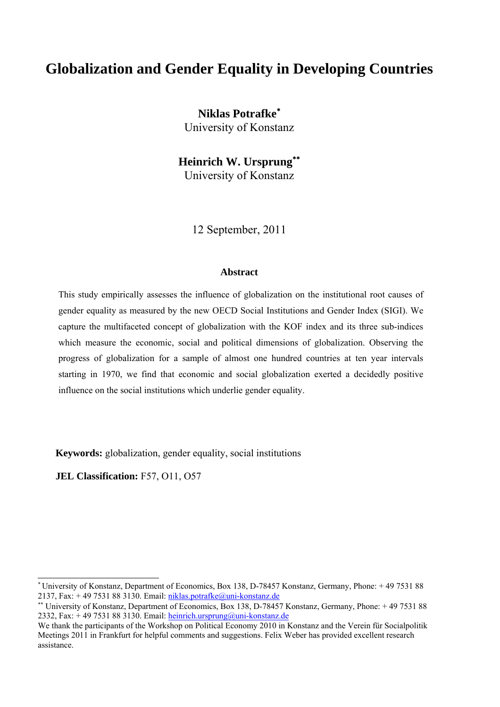# **Globalization and Gender Equality in Developing Countries**

**Niklas Potrafke**<sup>∗</sup> University of Konstanz

**Heinrich W. Ursprung**∗∗ University of Konstanz

12 September, 2011

#### **Abstract**

This study empirically assesses the influence of globalization on the institutional root causes of gender equality as measured by the new OECD Social Institutions and Gender Index (SIGI). We capture the multifaceted concept of globalization with the KOF index and its three sub-indices which measure the economic, social and political dimensions of globalization. Observing the progress of globalization for a sample of almost one hundred countries at ten year intervals starting in 1970, we find that economic and social globalization exerted a decidedly positive influence on the social institutions which underlie gender equality.

**Keywords:** globalization, gender equality, social institutions

**JEL Classification:** F57, O11, O57

l

<sup>∗</sup> University of Konstanz, Department of Economics, Box 138, D-78457 Konstanz, Germany, Phone: + 49 7531 88 2137, Fax:  $+ 49$  7531 88 3130. Email: niklas.potrafke@uni-konstanz.de

<sup>∗∗</sup> University of Konstanz, Department of Economics, Box 138, D-78457 Konstanz, Germany, Phone: + 49 7531 88 2332, Fax:  $+ 49 7531 88 3130$ . Email: heinrich.ursprung@uni-konstanz.de

We thank the participants of the Workshop on Political Economy 2010 in Konstanz and the Verein für Socialpolitik Meetings 2011 in Frankfurt for helpful comments and suggestions. Felix Weber has provided excellent research assistance.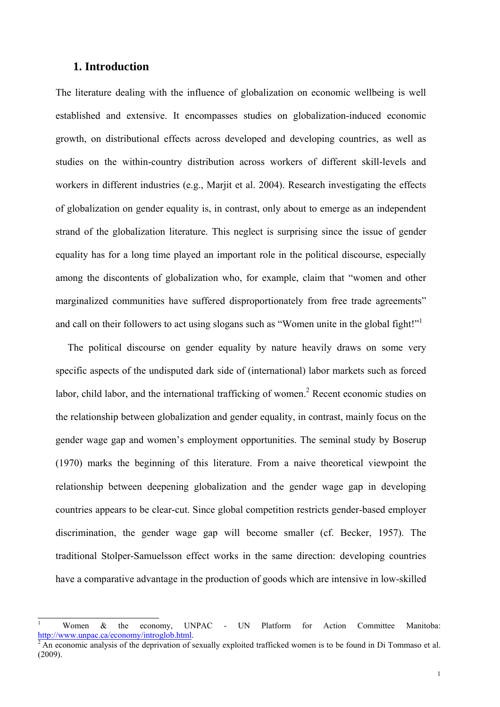# **1. Introduction**

l

The literature dealing with the influence of globalization on economic wellbeing is well established and extensive. It encompasses studies on globalization-induced economic growth, on distributional effects across developed and developing countries, as well as studies on the within-country distribution across workers of different skill-levels and workers in different industries (e.g., Marjit et al. 2004). Research investigating the effects of globalization on gender equality is, in contrast, only about to emerge as an independent strand of the globalization literature. This neglect is surprising since the issue of gender equality has for a long time played an important role in the political discourse, especially among the discontents of globalization who, for example, claim that "women and other marginalized communities have suffered disproportionately from free trade agreements" and call on their followers to act using slogans such as "Women unite in the global fight!"<sup>1</sup>

 The political discourse on gender equality by nature heavily draws on some very specific aspects of the undisputed dark side of (international) labor markets such as forced labor, child labor, and the international trafficking of women.<sup>2</sup> Recent economic studies on the relationship between globalization and gender equality, in contrast, mainly focus on the gender wage gap and women's employment opportunities. The seminal study by Boserup (1970) marks the beginning of this literature. From a naive theoretical viewpoint the relationship between deepening globalization and the gender wage gap in developing countries appears to be clear-cut. Since global competition restricts gender-based employer discrimination, the gender wage gap will become smaller (cf. Becker, 1957). The traditional Stolper-Samuelsson effect works in the same direction: developing countries have a comparative advantage in the production of goods which are intensive in low-skilled

<sup>&</sup>lt;sup>1</sup> Women & the economy, UNPAC - UN Platform for Action Committee Manitoba: http://www.unpac.ca/economy/introglob.html.<br><sup>2</sup> An economic analysis of the deprivation of sexually exploited trafficked women is to be found in Di Tommaso et al.

<sup>(2009).</sup>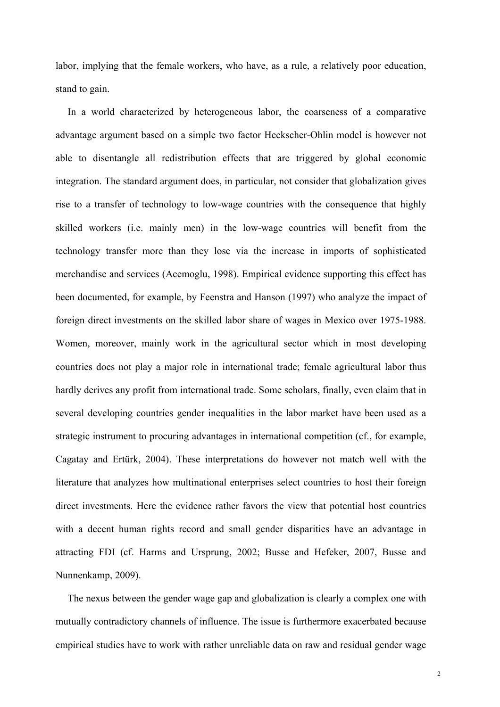labor, implying that the female workers, who have, as a rule, a relatively poor education, stand to gain.

 In a world characterized by heterogeneous labor, the coarseness of a comparative advantage argument based on a simple two factor Heckscher-Ohlin model is however not able to disentangle all redistribution effects that are triggered by global economic integration. The standard argument does, in particular, not consider that globalization gives rise to a transfer of technology to low-wage countries with the consequence that highly skilled workers (i.e. mainly men) in the low-wage countries will benefit from the technology transfer more than they lose via the increase in imports of sophisticated merchandise and services (Acemoglu, 1998). Empirical evidence supporting this effect has been documented, for example, by Feenstra and Hanson (1997) who analyze the impact of foreign direct investments on the skilled labor share of wages in Mexico over 1975-1988. Women, moreover, mainly work in the agricultural sector which in most developing countries does not play a major role in international trade; female agricultural labor thus hardly derives any profit from international trade. Some scholars, finally, even claim that in several developing countries gender inequalities in the labor market have been used as a strategic instrument to procuring advantages in international competition (cf., for example, Cagatay and Ertürk, 2004). These interpretations do however not match well with the literature that analyzes how multinational enterprises select countries to host their foreign direct investments. Here the evidence rather favors the view that potential host countries with a decent human rights record and small gender disparities have an advantage in attracting FDI (cf. Harms and Ursprung, 2002; Busse and Hefeker, 2007, Busse and Nunnenkamp, 2009).

 The nexus between the gender wage gap and globalization is clearly a complex one with mutually contradictory channels of influence. The issue is furthermore exacerbated because empirical studies have to work with rather unreliable data on raw and residual gender wage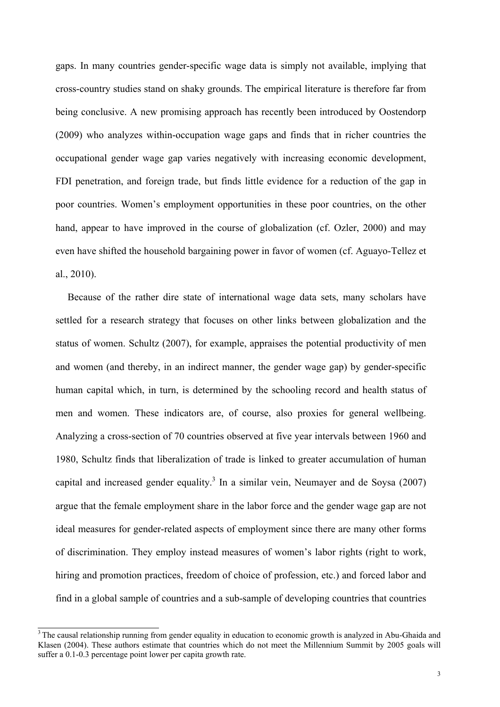gaps. In many countries gender-specific wage data is simply not available, implying that cross-country studies stand on shaky grounds. The empirical literature is therefore far from being conclusive. A new promising approach has recently been introduced by Oostendorp (2009) who analyzes within-occupation wage gaps and finds that in richer countries the occupational gender wage gap varies negatively with increasing economic development, FDI penetration, and foreign trade, but finds little evidence for a reduction of the gap in poor countries. Women's employment opportunities in these poor countries, on the other hand, appear to have improved in the course of globalization (cf. Ozler, 2000) and may even have shifted the household bargaining power in favor of women (cf. Aguayo-Tellez et al., 2010).

 Because of the rather dire state of international wage data sets, many scholars have settled for a research strategy that focuses on other links between globalization and the status of women. Schultz (2007), for example, appraises the potential productivity of men and women (and thereby, in an indirect manner, the gender wage gap) by gender-specific human capital which, in turn, is determined by the schooling record and health status of men and women. These indicators are, of course, also proxies for general wellbeing. Analyzing a cross-section of 70 countries observed at five year intervals between 1960 and 1980, Schultz finds that liberalization of trade is linked to greater accumulation of human capital and increased gender equality.<sup>3</sup> In a similar vein, Neumayer and de Soysa (2007) argue that the female employment share in the labor force and the gender wage gap are not ideal measures for gender-related aspects of employment since there are many other forms of discrimination. They employ instead measures of women's labor rights (right to work, hiring and promotion practices, freedom of choice of profession, etc.) and forced labor and find in a global sample of countries and a sub-sample of developing countries that countries

<sup>&</sup>lt;sup>3</sup> The causal relationship running from gender equality in education to economic growth is analyzed in Abu-Ghaida and Klasen (2004). These authors estimate that countries which do not meet the Millennium Summit by 2005 goals will suffer a 0.1-0.3 percentage point lower per capita growth rate.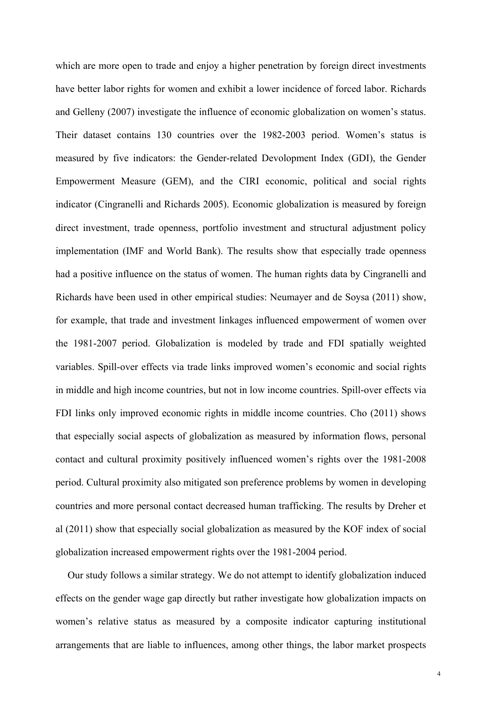which are more open to trade and enjoy a higher penetration by foreign direct investments have better labor rights for women and exhibit a lower incidence of forced labor. Richards and Gelleny (2007) investigate the influence of economic globalization on women's status. Their dataset contains 130 countries over the 1982-2003 period. Women's status is measured by five indicators: the Gender-related Devolopment Index (GDI), the Gender Empowerment Measure (GEM), and the CIRI economic, political and social rights indicator (Cingranelli and Richards 2005). Economic globalization is measured by foreign direct investment, trade openness, portfolio investment and structural adjustment policy implementation (IMF and World Bank). The results show that especially trade openness had a positive influence on the status of women. The human rights data by Cingranelli and Richards have been used in other empirical studies: Neumayer and de Soysa (2011) show, for example, that trade and investment linkages influenced empowerment of women over the 1981-2007 period. Globalization is modeled by trade and FDI spatially weighted variables. Spill-over effects via trade links improved women's economic and social rights in middle and high income countries, but not in low income countries. Spill-over effects via FDI links only improved economic rights in middle income countries. Cho (2011) shows that especially social aspects of globalization as measured by information flows, personal contact and cultural proximity positively influenced women's rights over the 1981-2008 period. Cultural proximity also mitigated son preference problems by women in developing countries and more personal contact decreased human trafficking. The results by Dreher et al (2011) show that especially social globalization as measured by the KOF index of social globalization increased empowerment rights over the 1981-2004 period.

 Our study follows a similar strategy. We do not attempt to identify globalization induced effects on the gender wage gap directly but rather investigate how globalization impacts on women's relative status as measured by a composite indicator capturing institutional arrangements that are liable to influences, among other things, the labor market prospects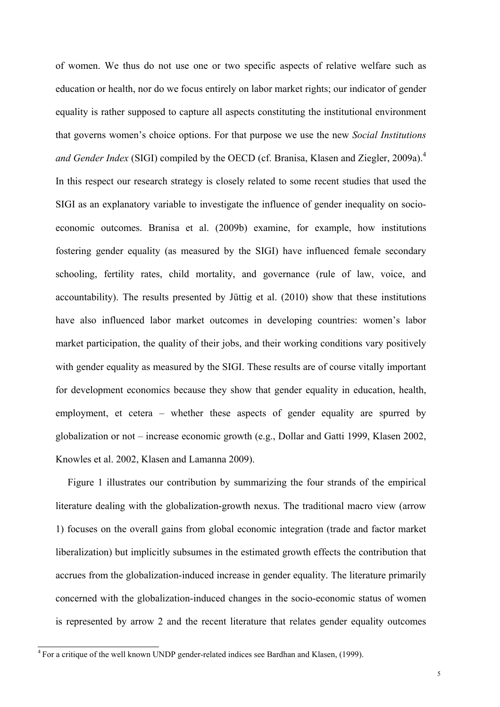of women. We thus do not use one or two specific aspects of relative welfare such as education or health, nor do we focus entirely on labor market rights; our indicator of gender equality is rather supposed to capture all aspects constituting the institutional environment that governs women's choice options. For that purpose we use the new *Social Institutions*  and Gender Index (SIGI) compiled by the OECD (cf. Branisa, Klasen and Ziegler, 2009a).<sup>4</sup> In this respect our research strategy is closely related to some recent studies that used the SIGI as an explanatory variable to investigate the influence of gender inequality on socioeconomic outcomes. Branisa et al. (2009b) examine, for example, how institutions fostering gender equality (as measured by the SIGI) have influenced female secondary schooling, fertility rates, child mortality, and governance (rule of law, voice, and accountability). The results presented by Jüttig et al. (2010) show that these institutions have also influenced labor market outcomes in developing countries: women's labor market participation, the quality of their jobs, and their working conditions vary positively with gender equality as measured by the SIGI. These results are of course vitally important for development economics because they show that gender equality in education, health, employment, et cetera – whether these aspects of gender equality are spurred by globalization or not – increase economic growth (e.g., Dollar and Gatti 1999, Klasen 2002, Knowles et al. 2002, Klasen and Lamanna 2009).

 Figure 1 illustrates our contribution by summarizing the four strands of the empirical literature dealing with the globalization-growth nexus. The traditional macro view (arrow 1) focuses on the overall gains from global economic integration (trade and factor market liberalization) but implicitly subsumes in the estimated growth effects the contribution that accrues from the globalization-induced increase in gender equality. The literature primarily concerned with the globalization-induced changes in the socio-economic status of women is represented by arrow 2 and the recent literature that relates gender equality outcomes

 $\frac{4}{10}$  For a critique of the well known UNDP gender-related indices see Bardhan and Klasen, (1999).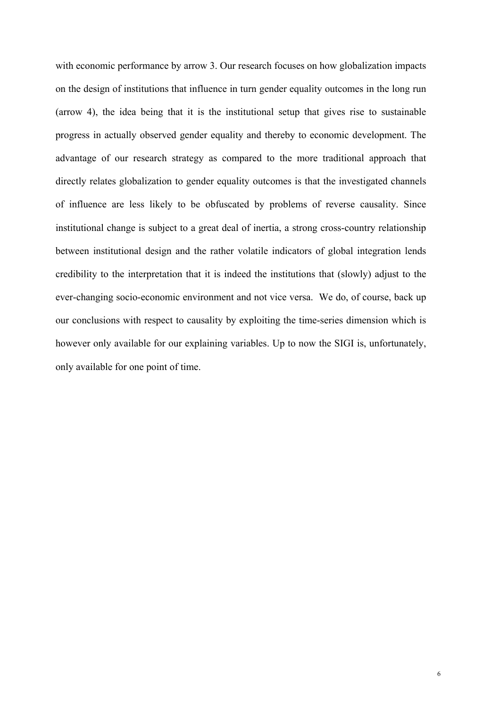with economic performance by arrow 3. Our research focuses on how globalization impacts on the design of institutions that influence in turn gender equality outcomes in the long run (arrow 4), the idea being that it is the institutional setup that gives rise to sustainable progress in actually observed gender equality and thereby to economic development. The advantage of our research strategy as compared to the more traditional approach that directly relates globalization to gender equality outcomes is that the investigated channels of influence are less likely to be obfuscated by problems of reverse causality. Since institutional change is subject to a great deal of inertia, a strong cross-country relationship between institutional design and the rather volatile indicators of global integration lends credibility to the interpretation that it is indeed the institutions that (slowly) adjust to the ever-changing socio-economic environment and not vice versa. We do, of course, back up our conclusions with respect to causality by exploiting the time-series dimension which is however only available for our explaining variables. Up to now the SIGI is, unfortunately, only available for one point of time.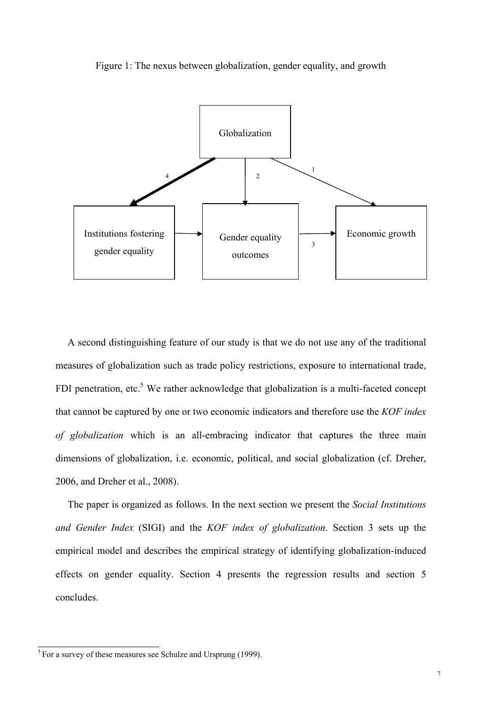Figure 1: The nexus between globalization, gender equality, and growth



 A second distinguishing feature of our study is that we do not use any of the traditional measures of globalization such as trade policy restrictions, exposure to international trade, FDI penetration, etc.<sup>5</sup> We rather acknowledge that globalization is a multi-faceted concept that cannot be captured by one or two economic indicators and therefore use the *KOF index of globalization* which is an all-embracing indicator that captures the three main dimensions of globalization, i.e. economic, political, and social globalization (cf. Dreher, 2006, and Dreher et al., 2008).

 The paper is organized as follows. In the next section we present the *Social Institutions and Gender Index* (SIGI) and the *KOF index of globalization*. Section 3 sets up the empirical model and describes the empirical strategy of identifying globalization-induced effects on gender equality. Section 4 presents the regression results and section 5 concludes.

 $\frac{5}{5}$  For a survey of these measures see Schulze and Ursprung (1999).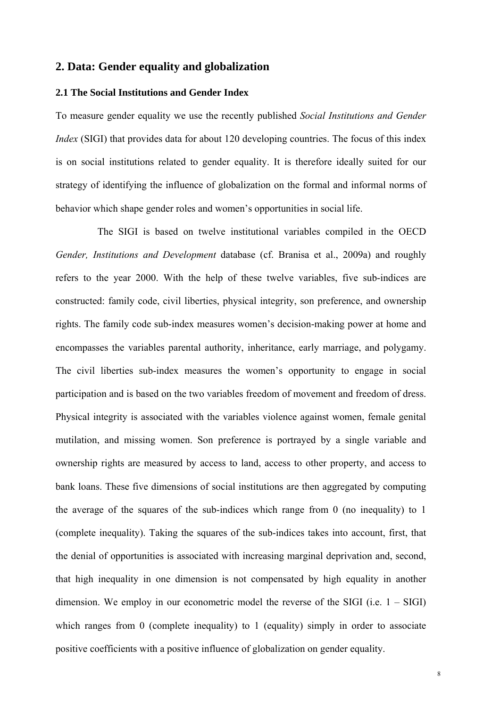#### **2. Data: Gender equality and globalization**

# **2.1 The Social Institutions and Gender Index**

To measure gender equality we use the recently published *Social Institutions and Gender Index* (SIGI) that provides data for about 120 developing countries. The focus of this index is on social institutions related to gender equality. It is therefore ideally suited for our strategy of identifying the influence of globalization on the formal and informal norms of behavior which shape gender roles and women's opportunities in social life.

 The SIGI is based on twelve institutional variables compiled in the OECD *Gender, Institutions and Development* database (cf. Branisa et al., 2009a) and roughly refers to the year 2000. With the help of these twelve variables, five sub-indices are constructed: family code, civil liberties, physical integrity, son preference, and ownership rights. The family code sub-index measures women's decision-making power at home and encompasses the variables parental authority, inheritance, early marriage, and polygamy. The civil liberties sub-index measures the women's opportunity to engage in social participation and is based on the two variables freedom of movement and freedom of dress. Physical integrity is associated with the variables violence against women, female genital mutilation, and missing women. Son preference is portrayed by a single variable and ownership rights are measured by access to land, access to other property, and access to bank loans. These five dimensions of social institutions are then aggregated by computing the average of the squares of the sub-indices which range from 0 (no inequality) to 1 (complete inequality). Taking the squares of the sub-indices takes into account, first, that the denial of opportunities is associated with increasing marginal deprivation and, second, that high inequality in one dimension is not compensated by high equality in another dimension. We employ in our econometric model the reverse of the SIGI (i.e.  $1 - SIGI$ ) which ranges from 0 (complete inequality) to 1 (equality) simply in order to associate positive coefficients with a positive influence of globalization on gender equality.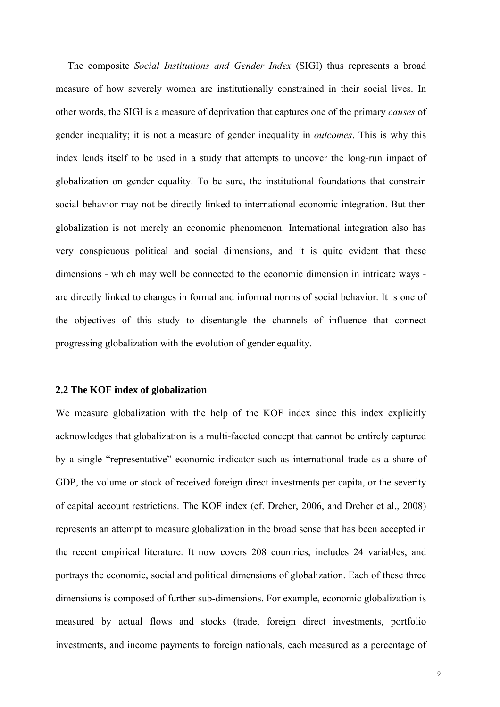The composite *Social Institutions and Gender Index* (SIGI) thus represents a broad measure of how severely women are institutionally constrained in their social lives. In other words, the SIGI is a measure of deprivation that captures one of the primary *causes* of gender inequality; it is not a measure of gender inequality in *outcomes*. This is why this index lends itself to be used in a study that attempts to uncover the long-run impact of globalization on gender equality. To be sure, the institutional foundations that constrain social behavior may not be directly linked to international economic integration. But then globalization is not merely an economic phenomenon. International integration also has very conspicuous political and social dimensions, and it is quite evident that these dimensions - which may well be connected to the economic dimension in intricate ways are directly linked to changes in formal and informal norms of social behavior. It is one of the objectives of this study to disentangle the channels of influence that connect progressing globalization with the evolution of gender equality.

#### **2.2 The KOF index of globalization**

We measure globalization with the help of the KOF index since this index explicitly acknowledges that globalization is a multi-faceted concept that cannot be entirely captured by a single "representative" economic indicator such as international trade as a share of GDP, the volume or stock of received foreign direct investments per capita, or the severity of capital account restrictions. The KOF index (cf. Dreher, 2006, and Dreher et al., 2008) represents an attempt to measure globalization in the broad sense that has been accepted in the recent empirical literature. It now covers 208 countries, includes 24 variables, and portrays the economic, social and political dimensions of globalization. Each of these three dimensions is composed of further sub-dimensions. For example, economic globalization is measured by actual flows and stocks (trade, foreign direct investments, portfolio investments, and income payments to foreign nationals, each measured as a percentage of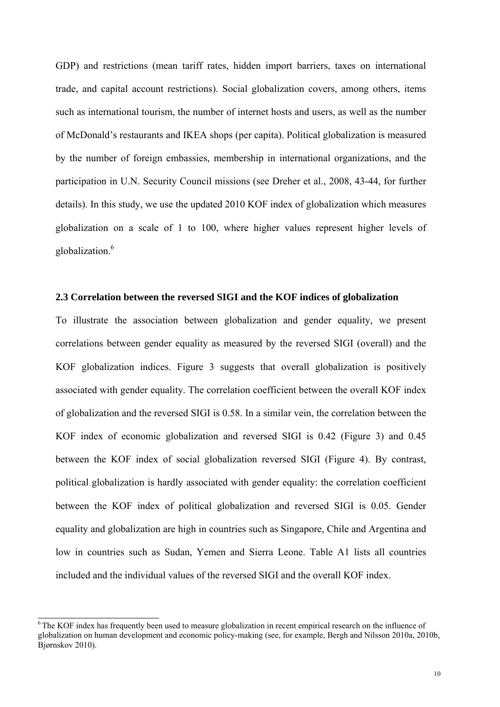GDP) and restrictions (mean tariff rates, hidden import barriers, taxes on international trade, and capital account restrictions). Social globalization covers, among others, items such as international tourism, the number of internet hosts and users, as well as the number of McDonald's restaurants and IKEA shops (per capita). Political globalization is measured by the number of foreign embassies, membership in international organizations, and the participation in U.N. Security Council missions (see Dreher et al., 2008, 43-44, for further details). In this study, we use the updated 2010 KOF index of globalization which measures globalization on a scale of 1 to 100, where higher values represent higher levels of globalization.<sup>6</sup>

#### **2.3 Correlation between the reversed SIGI and the KOF indices of globalization**

To illustrate the association between globalization and gender equality, we present correlations between gender equality as measured by the reversed SIGI (overall) and the KOF globalization indices. Figure 3 suggests that overall globalization is positively associated with gender equality. The correlation coefficient between the overall KOF index of globalization and the reversed SIGI is 0.58. In a similar vein, the correlation between the KOF index of economic globalization and reversed SIGI is 0.42 (Figure 3) and 0.45 between the KOF index of social globalization reversed SIGI (Figure 4). By contrast, political globalization is hardly associated with gender equality: the correlation coefficient between the KOF index of political globalization and reversed SIGI is 0.05. Gender equality and globalization are high in countries such as Singapore, Chile and Argentina and low in countries such as Sudan, Yemen and Sierra Leone. Table A1 lists all countries included and the individual values of the reversed SIGI and the overall KOF index.

<sup>&</sup>lt;sup>6</sup>The KOF index has frequently been used to measure globalization in recent empirical research on the influence of globalization on human development and economic policy-making (see, for example, Bergh and Nilsson 2010a, 2010b, Bjørnskov 2010).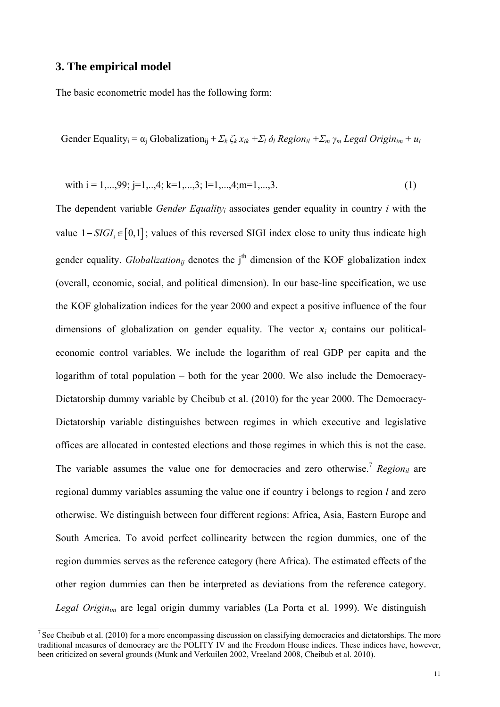# **3. The empirical model**

The basic econometric model has the following form:

Gender Equality<sub>i</sub> =  $\alpha_i$  Globalization<sub>ii</sub> +  $\sum_k \zeta_k x_{ik} + \sum_l \delta_l$  Region<sub>il</sub> +  $\sum_m \gamma_m$  Legal Origin<sub>im</sub> +  $u_i$ 

with 
$$
i = 1,...,99
$$
;  $j=1,...,4$ ;  $k=1,...,3$ ;  $l=1,...,4$ ;  $m=1,...,3$ . (1)

The dependent variable *Gender Equalityi* associates gender equality in country *i* with the value  $1 - SIGI \in [0,1]$ ; values of this reversed SIGI index close to unity thus indicate high gender equality. *Globalization<sub>ij</sub>* denotes the j<sup>th</sup> dimension of the KOF globalization index (overall, economic, social, and political dimension). In our base-line specification, we use the KOF globalization indices for the year 2000 and expect a positive influence of the four dimensions of globalization on gender equality. The vector  $x_i$  contains our politicaleconomic control variables. We include the logarithm of real GDP per capita and the logarithm of total population – both for the year 2000. We also include the Democracy-Dictatorship dummy variable by Cheibub et al. (2010) for the year 2000. The Democracy-Dictatorship variable distinguishes between regimes in which executive and legislative offices are allocated in contested elections and those regimes in which this is not the case. The variable assumes the value one for democracies and zero otherwise.<sup>7</sup> *Region*<sub>il</sub> are regional dummy variables assuming the value one if country i belongs to region *l* and zero otherwise. We distinguish between four different regions: Africa, Asia, Eastern Europe and South America. To avoid perfect collinearity between the region dummies, one of the region dummies serves as the reference category (here Africa). The estimated effects of the other region dummies can then be interpreted as deviations from the reference category. *Legal Originim* are legal origin dummy variables (La Porta et al. 1999). We distinguish

 $\frac{7}{1}$  See Cheibub et al. (2010) for a more encompassing discussion on classifying democracies and dictatorships. The more traditional measures of democracy are the POLITY IV and the Freedom House indices. These indices have, however, been criticized on several grounds (Munk and Verkuilen 2002, Vreeland 2008, Cheibub et al. 2010).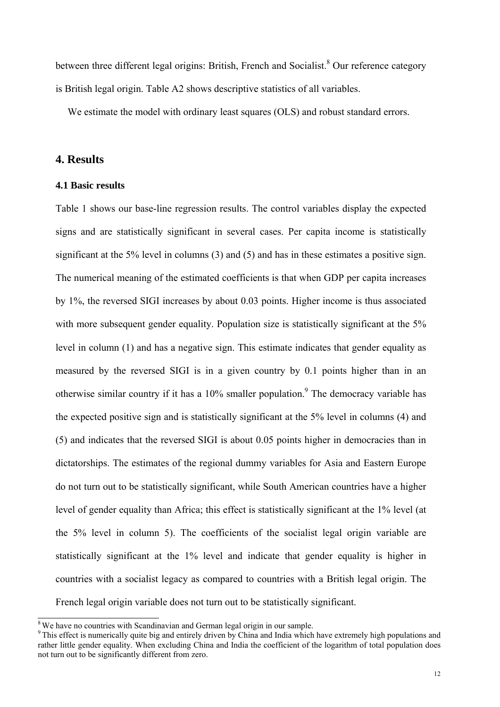between three different legal origins: British, French and Socialist.<sup>8</sup> Our reference category is British legal origin. Table A2 shows descriptive statistics of all variables.

We estimate the model with ordinary least squares (OLS) and robust standard errors.

### **4. Results**

#### **4.1 Basic results**

Table 1 shows our base-line regression results. The control variables display the expected signs and are statistically significant in several cases. Per capita income is statistically significant at the 5% level in columns (3) and (5) and has in these estimates a positive sign. The numerical meaning of the estimated coefficients is that when GDP per capita increases by 1%, the reversed SIGI increases by about 0.03 points. Higher income is thus associated with more subsequent gender equality. Population size is statistically significant at the 5% level in column (1) and has a negative sign. This estimate indicates that gender equality as measured by the reversed SIGI is in a given country by 0.1 points higher than in an otherwise similar country if it has a  $10\%$  smaller population.<sup>9</sup> The democracy variable has the expected positive sign and is statistically significant at the 5% level in columns (4) and (5) and indicates that the reversed SIGI is about 0.05 points higher in democracies than in dictatorships. The estimates of the regional dummy variables for Asia and Eastern Europe do not turn out to be statistically significant, while South American countries have a higher level of gender equality than Africa; this effect is statistically significant at the 1% level (at the 5% level in column 5). The coefficients of the socialist legal origin variable are statistically significant at the 1% level and indicate that gender equality is higher in countries with a socialist legacy as compared to countries with a British legal origin. The French legal origin variable does not turn out to be statistically significant.

 $8W$ e have no countries with Scandinavian and German legal origin in our sample.

<sup>&</sup>lt;sup>9</sup> This effect is numerically quite big and entirely driven by China and India which have extremely high populations and rather little gender equality. When excluding China and India the coefficient of the logarithm of total population does not turn out to be significantly different from zero.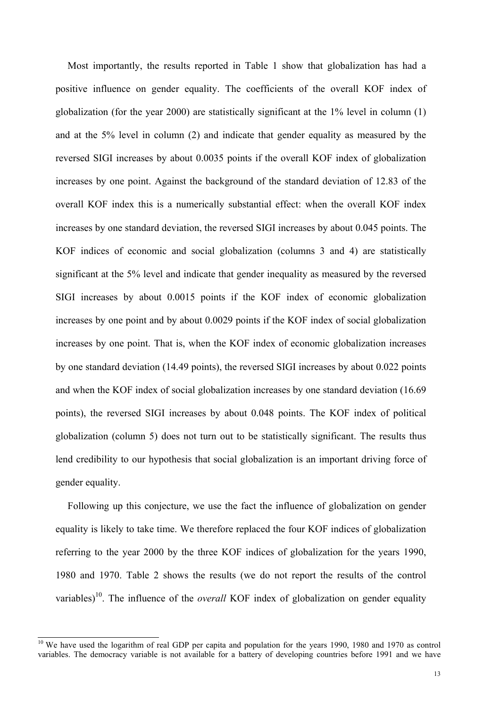Most importantly, the results reported in Table 1 show that globalization has had a positive influence on gender equality. The coefficients of the overall KOF index of globalization (for the year 2000) are statistically significant at the 1% level in column (1) and at the 5% level in column (2) and indicate that gender equality as measured by the reversed SIGI increases by about 0.0035 points if the overall KOF index of globalization increases by one point. Against the background of the standard deviation of 12.83 of the overall KOF index this is a numerically substantial effect: when the overall KOF index increases by one standard deviation, the reversed SIGI increases by about 0.045 points. The KOF indices of economic and social globalization (columns 3 and 4) are statistically significant at the 5% level and indicate that gender inequality as measured by the reversed SIGI increases by about 0.0015 points if the KOF index of economic globalization increases by one point and by about 0.0029 points if the KOF index of social globalization increases by one point. That is, when the KOF index of economic globalization increases by one standard deviation (14.49 points), the reversed SIGI increases by about 0.022 points and when the KOF index of social globalization increases by one standard deviation (16.69 points), the reversed SIGI increases by about 0.048 points. The KOF index of political globalization (column 5) does not turn out to be statistically significant. The results thus lend credibility to our hypothesis that social globalization is an important driving force of gender equality.

 Following up this conjecture, we use the fact the influence of globalization on gender equality is likely to take time. We therefore replaced the four KOF indices of globalization referring to the year 2000 by the three KOF indices of globalization for the years 1990, 1980 and 1970. Table 2 shows the results (we do not report the results of the control variables)<sup>10</sup>. The influence of the *overall* KOF index of globalization on gender equality

<sup>&</sup>lt;sup>10</sup> We have used the logarithm of real GDP per capita and population for the years 1990, 1980 and 1970 as control variables. The democracy variable is not available for a battery of developing countries before 1991 and we have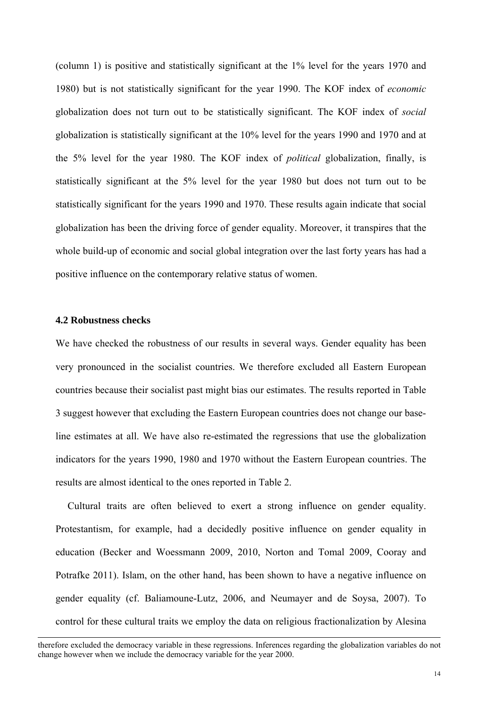(column 1) is positive and statistically significant at the 1% level for the years 1970 and 1980) but is not statistically significant for the year 1990. The KOF index of *economic* globalization does not turn out to be statistically significant. The KOF index of *social*  globalization is statistically significant at the 10% level for the years 1990 and 1970 and at the 5% level for the year 1980. The KOF index of *political* globalization, finally, is statistically significant at the 5% level for the year 1980 but does not turn out to be statistically significant for the years 1990 and 1970. These results again indicate that social globalization has been the driving force of gender equality. Moreover, it transpires that the whole build-up of economic and social global integration over the last forty years has had a positive influence on the contemporary relative status of women.

#### **4.2 Robustness checks**

l

We have checked the robustness of our results in several ways. Gender equality has been very pronounced in the socialist countries. We therefore excluded all Eastern European countries because their socialist past might bias our estimates. The results reported in Table 3 suggest however that excluding the Eastern European countries does not change our baseline estimates at all. We have also re-estimated the regressions that use the globalization indicators for the years 1990, 1980 and 1970 without the Eastern European countries. The results are almost identical to the ones reported in Table 2.

 Cultural traits are often believed to exert a strong influence on gender equality. Protestantism, for example, had a decidedly positive influence on gender equality in education (Becker and Woessmann 2009, 2010, Norton and Tomal 2009, Cooray and Potrafke 2011). Islam, on the other hand, has been shown to have a negative influence on gender equality (cf. Baliamoune-Lutz, 2006, and Neumayer and de Soysa, 2007). To control for these cultural traits we employ the data on religious fractionalization by Alesina

therefore excluded the democracy variable in these regressions. Inferences regarding the globalization variables do not change however when we include the democracy variable for the year 2000.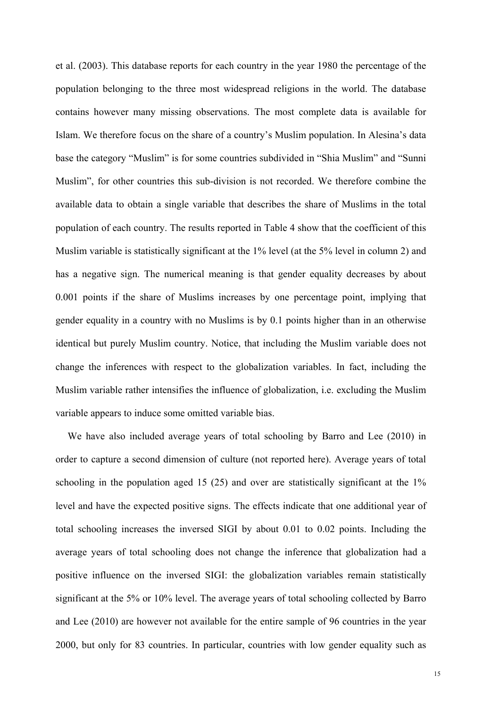et al. (2003). This database reports for each country in the year 1980 the percentage of the population belonging to the three most widespread religions in the world. The database contains however many missing observations. The most complete data is available for Islam. We therefore focus on the share of a country's Muslim population. In Alesina's data base the category "Muslim" is for some countries subdivided in "Shia Muslim" and "Sunni Muslim", for other countries this sub-division is not recorded. We therefore combine the available data to obtain a single variable that describes the share of Muslims in the total population of each country. The results reported in Table 4 show that the coefficient of this Muslim variable is statistically significant at the 1% level (at the 5% level in column 2) and has a negative sign. The numerical meaning is that gender equality decreases by about 0.001 points if the share of Muslims increases by one percentage point, implying that gender equality in a country with no Muslims is by 0.1 points higher than in an otherwise identical but purely Muslim country. Notice, that including the Muslim variable does not change the inferences with respect to the globalization variables. In fact, including the Muslim variable rather intensifies the influence of globalization, i.e. excluding the Muslim variable appears to induce some omitted variable bias.

 We have also included average years of total schooling by Barro and Lee (2010) in order to capture a second dimension of culture (not reported here). Average years of total schooling in the population aged 15 (25) and over are statistically significant at the 1% level and have the expected positive signs. The effects indicate that one additional year of total schooling increases the inversed SIGI by about 0.01 to 0.02 points. Including the average years of total schooling does not change the inference that globalization had a positive influence on the inversed SIGI: the globalization variables remain statistically significant at the 5% or 10% level. The average years of total schooling collected by Barro and Lee (2010) are however not available for the entire sample of 96 countries in the year 2000, but only for 83 countries. In particular, countries with low gender equality such as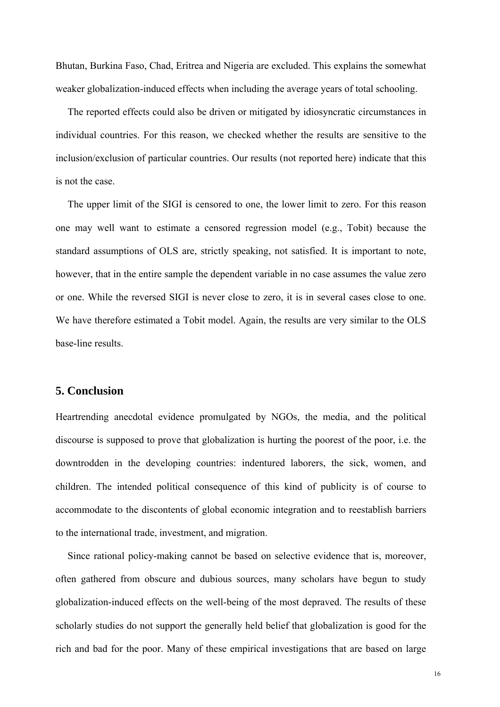Bhutan, Burkina Faso, Chad, Eritrea and Nigeria are excluded. This explains the somewhat weaker globalization-induced effects when including the average years of total schooling.

 The reported effects could also be driven or mitigated by idiosyncratic circumstances in individual countries. For this reason, we checked whether the results are sensitive to the inclusion/exclusion of particular countries. Our results (not reported here) indicate that this is not the case.

 The upper limit of the SIGI is censored to one, the lower limit to zero. For this reason one may well want to estimate a censored regression model (e.g., Tobit) because the standard assumptions of OLS are, strictly speaking, not satisfied. It is important to note, however, that in the entire sample the dependent variable in no case assumes the value zero or one. While the reversed SIGI is never close to zero, it is in several cases close to one. We have therefore estimated a Tobit model. Again, the results are very similar to the OLS base-line results.

# **5. Conclusion**

Heartrending anecdotal evidence promulgated by NGOs, the media, and the political discourse is supposed to prove that globalization is hurting the poorest of the poor, i.e. the downtrodden in the developing countries: indentured laborers, the sick, women, and children. The intended political consequence of this kind of publicity is of course to accommodate to the discontents of global economic integration and to reestablish barriers to the international trade, investment, and migration.

 Since rational policy-making cannot be based on selective evidence that is, moreover, often gathered from obscure and dubious sources, many scholars have begun to study globalization-induced effects on the well-being of the most depraved. The results of these scholarly studies do not support the generally held belief that globalization is good for the rich and bad for the poor. Many of these empirical investigations that are based on large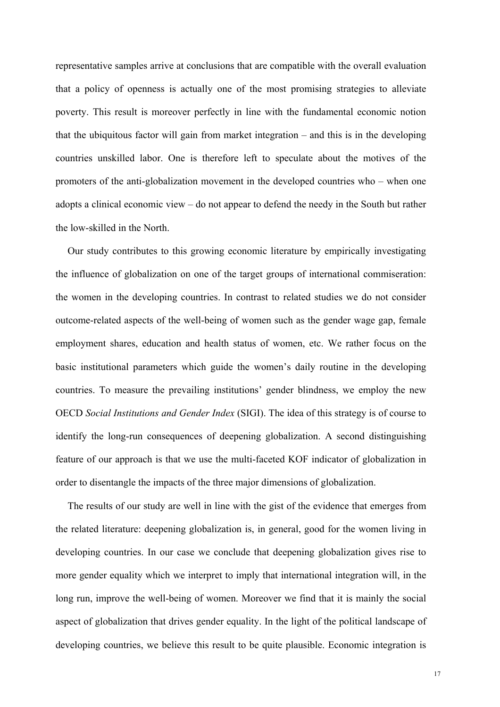representative samples arrive at conclusions that are compatible with the overall evaluation that a policy of openness is actually one of the most promising strategies to alleviate poverty. This result is moreover perfectly in line with the fundamental economic notion that the ubiquitous factor will gain from market integration – and this is in the developing countries unskilled labor. One is therefore left to speculate about the motives of the promoters of the anti-globalization movement in the developed countries who – when one adopts a clinical economic view – do not appear to defend the needy in the South but rather the low-skilled in the North.

 Our study contributes to this growing economic literature by empirically investigating the influence of globalization on one of the target groups of international commiseration: the women in the developing countries. In contrast to related studies we do not consider outcome-related aspects of the well-being of women such as the gender wage gap, female employment shares, education and health status of women, etc. We rather focus on the basic institutional parameters which guide the women's daily routine in the developing countries. To measure the prevailing institutions' gender blindness, we employ the new OECD *Social Institutions and Gender Index* (SIGI). The idea of this strategy is of course to identify the long-run consequences of deepening globalization. A second distinguishing feature of our approach is that we use the multi-faceted KOF indicator of globalization in order to disentangle the impacts of the three major dimensions of globalization.

 The results of our study are well in line with the gist of the evidence that emerges from the related literature: deepening globalization is, in general, good for the women living in developing countries. In our case we conclude that deepening globalization gives rise to more gender equality which we interpret to imply that international integration will, in the long run, improve the well-being of women. Moreover we find that it is mainly the social aspect of globalization that drives gender equality. In the light of the political landscape of developing countries, we believe this result to be quite plausible. Economic integration is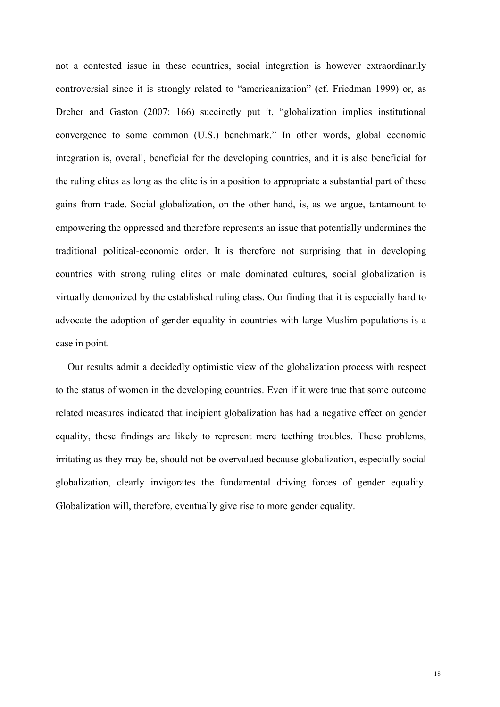not a contested issue in these countries, social integration is however extraordinarily controversial since it is strongly related to "americanization" (cf. Friedman 1999) or, as Dreher and Gaston (2007: 166) succinctly put it, "globalization implies institutional convergence to some common (U.S.) benchmark." In other words, global economic integration is, overall, beneficial for the developing countries, and it is also beneficial for the ruling elites as long as the elite is in a position to appropriate a substantial part of these gains from trade. Social globalization, on the other hand, is, as we argue, tantamount to empowering the oppressed and therefore represents an issue that potentially undermines the traditional political-economic order. It is therefore not surprising that in developing countries with strong ruling elites or male dominated cultures, social globalization is virtually demonized by the established ruling class. Our finding that it is especially hard to advocate the adoption of gender equality in countries with large Muslim populations is a case in point.

 Our results admit a decidedly optimistic view of the globalization process with respect to the status of women in the developing countries. Even if it were true that some outcome related measures indicated that incipient globalization has had a negative effect on gender equality, these findings are likely to represent mere teething troubles. These problems, irritating as they may be, should not be overvalued because globalization, especially social globalization, clearly invigorates the fundamental driving forces of gender equality. Globalization will, therefore, eventually give rise to more gender equality.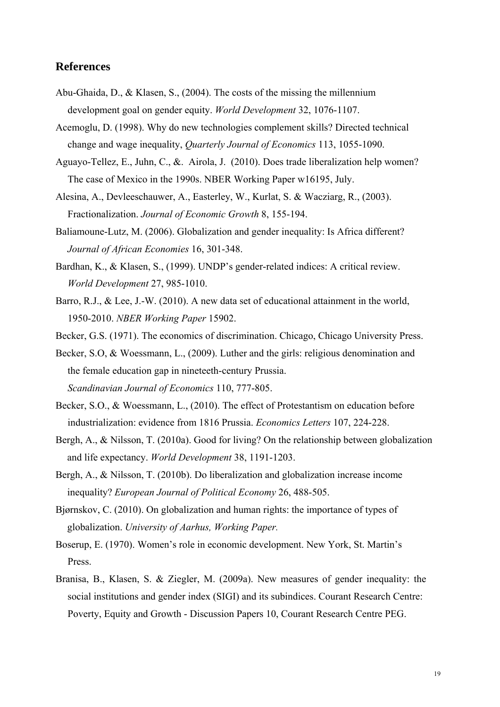# **References**

- Abu-Ghaida, D., & Klasen, S., (2004). The costs of the missing the millennium development goal on gender equity. *World Development* 32, 1076-1107.
- Acemoglu, D. (1998). Why do new technologies complement skills? Directed technical change and wage inequality, *Quarterly Journal of Economics* 113, 1055-1090.
- Aguayo-Tellez, E., Juhn, C., &. Airola, J. (2010). Does trade liberalization help women? The case of Mexico in the 1990s. NBER Working Paper w16195, July.
- Alesina, A., Devleeschauwer, A., Easterley, W., Kurlat, S. & Wacziarg, R., (2003). Fractionalization. *Journal of Economic Growth* 8, 155-194.
- Baliamoune-Lutz, M. (2006). Globalization and gender inequality: Is Africa different? *Journal of African Economies* 16, 301-348.
- Bardhan, K., & Klasen, S., (1999). UNDP's gender-related indices: A critical review. *World Development* 27, 985-1010.
- Barro, R.J., & Lee, J.-W. (2010). A new data set of educational attainment in the world, 1950-2010. *NBER Working Paper* 15902.
- Becker, G.S. (1971). The economics of discrimination. Chicago, Chicago University Press.

Becker, S.O, & Woessmann, L., (2009). Luther and the girls: religious denomination and the female education gap in nineteeth-century Prussia. *Scandinavian Journal of Economics* 110, 777-805.

- Becker, S.O., & Woessmann, L., (2010). The effect of Protestantism on education before industrialization: evidence from 1816 Prussia. *Economics Letters* 107, 224-228.
- Bergh, A., & Nilsson, T. (2010a). Good for living? On the relationship between globalization and life expectancy. *World Development* 38, 1191-1203.
- Bergh, A., & Nilsson, T. (2010b). Do liberalization and globalization increase income inequality? *European Journal of Political Economy* 26, 488-505.
- Bjørnskov, C. (2010). On globalization and human rights: the importance of types of globalization. *University of Aarhus, Working Paper.*
- Boserup, E. (1970). Women's role in economic development. New York, St. Martin's Press.
- Branisa, B., Klasen, S. & Ziegler, M. (2009a). New measures of gender inequality: the social institutions and gender index (SIGI) and its subindices. Courant Research Centre: Poverty, Equity and Growth - Discussion Papers 10, Courant Research Centre PEG.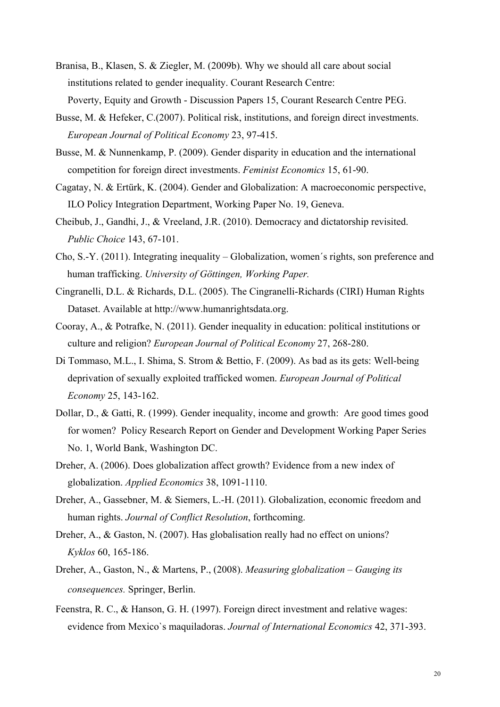- Branisa, B., Klasen, S. & Ziegler, M. (2009b). Why we should all care about social institutions related to gender inequality. Courant Research Centre: Poverty, Equity and Growth - Discussion Papers 15, Courant Research Centre PEG.
- Busse, M. & Hefeker, C.(2007). Political risk, institutions, and foreign direct investments. *European Journal of Political Economy* 23, 97-415.
- Busse, M. & Nunnenkamp, P. (2009). Gender disparity in education and the international competition for foreign direct investments. *Feminist Economics* 15, 61-90.
- Cagatay, N. & Ertürk, K. (2004). Gender and Globalization: A macroeconomic perspective, ILO Policy Integration Department, Working Paper No. 19, Geneva.
- Cheibub, J., Gandhi, J., & Vreeland, J.R. (2010). Democracy and dictatorship revisited.  *Public Choice* 143, 67-101.
- Cho, S.-Y. (2011). Integrating inequality Globalization, women´s rights, son preference and human trafficking. *University of Göttingen, Working Paper.*
- Cingranelli, D.L. & Richards, D.L. (2005). The Cingranelli-Richards (CIRI) Human Rights Dataset. Available at http://www.humanrightsdata.org.
- Cooray, A., & Potrafke, N. (2011). Gender inequality in education: political institutions or culture and religion? *European Journal of Political Economy* 27, 268-280.
- Di Tommaso, M.L., I. Shima, S. Strom & Bettio, F. (2009). As bad as its gets: Well-being deprivation of sexually exploited trafficked women. *European Journal of Political Economy* 25, 143-162.
- Dollar, D., & Gatti, R. (1999). Gender inequality, income and growth: Are good times good for women? Policy Research Report on Gender and Development Working Paper Series No. 1, World Bank, Washington DC.
- Dreher, A. (2006). Does globalization affect growth? Evidence from a new index of globalization. *Applied Economics* 38, 1091-1110.
- Dreher, A., Gassebner, M. & Siemers, L.-H. (2011). Globalization, economic freedom and human rights. *Journal of Conflict Resolution*, forthcoming.
- Dreher, A., & Gaston, N. (2007). Has globalisation really had no effect on unions?  *Kyklos* 60, 165-186.
- Dreher, A., Gaston, N., & Martens, P., (2008). *Measuring globalization Gauging its consequences.* Springer, Berlin.
- Feenstra, R. C., & Hanson, G. H. (1997). Foreign direct investment and relative wages: evidence from Mexico`s maquiladoras. *Journal of International Economics* 42, 371-393.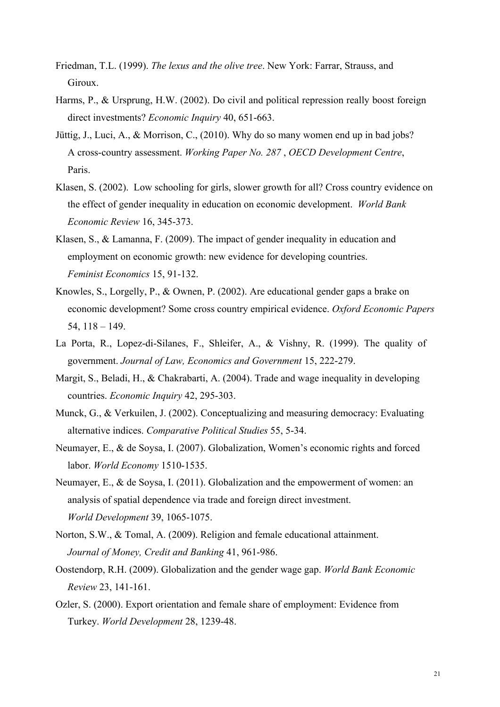- Friedman, T.L. (1999). *The lexus and the olive tree*. New York: Farrar, Strauss, and Giroux.
- Harms, P., & Ursprung, H.W. (2002). Do civil and political repression really boost foreign direct investments? *Economic Inquiry* 40, 651-663.
- Jüttig, J., Luci, A., & Morrison, C., (2010). Why do so many women end up in bad jobs? A cross-country assessment. *Working Paper No. 287* , *OECD Development Centre*, Paris.
- Klasen, S. (2002). Low schooling for girls, slower growth for all? Cross country evidence on the effect of gender inequality in education on economic development. *World Bank Economic Review* 16, 345-373.
- Klasen, S., & Lamanna, F. (2009). The impact of gender inequality in education and employment on economic growth: new evidence for developing countries. *Feminist Economics* 15, 91-132.
- Knowles, S., Lorgelly, P., & Ownen, P. (2002). Are educational gender gaps a brake on economic development? Some cross country empirical evidence. *Oxford Economic Papers* 54, 118 – 149.
- La Porta, R., Lopez-di-Silanes, F., Shleifer, A., & Vishny, R. (1999). The quality of government. *Journal of Law, Economics and Government* 15, 222-279.
- Margit, S., Beladi, H., & Chakrabarti, A. (2004). Trade and wage inequality in developing countries. *Economic Inquiry* 42, 295-303.
- Munck, G., & Verkuilen, J. (2002). Conceptualizing and measuring democracy: Evaluating alternative indices. *Comparative Political Studies* 55, 5-34.
- Neumayer, E., & de Soysa, I. (2007). Globalization, Women's economic rights and forced labor. *World Economy* 1510-1535.
- Neumayer, E., & de Soysa, I. (2011). Globalization and the empowerment of women: an analysis of spatial dependence via trade and foreign direct investment. *World Development* 39, 1065-1075.
- Norton, S.W., & Tomal, A. (2009). Religion and female educational attainment. *Journal of Money, Credit and Banking* 41, 961-986.
- Oostendorp, R.H. (2009). Globalization and the gender wage gap. *World Bank Economic Review* 23, 141-161.
- Ozler, S. (2000). Export orientation and female share of employment: Evidence from Turkey. *World Development* 28, 1239-48.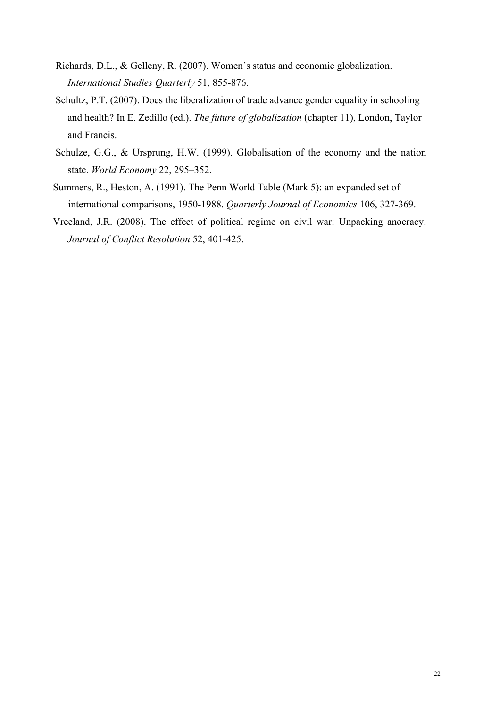- Richards, D.L., & Gelleny, R. (2007). Women´s status and economic globalization. *International Studies Quarterly* 51, 855-876.
- Schultz, P.T. (2007). Does the liberalization of trade advance gender equality in schooling and health? In E. Zedillo (ed.). *The future of globalization* (chapter 11), London, Taylor and Francis.
- Schulze, G.G., & Ursprung, H.W. (1999). Globalisation of the economy and the nation state. *World Economy* 22, 295–352.
- Summers, R., Heston, A. (1991). The Penn World Table (Mark 5): an expanded set of international comparisons, 1950-1988. *Quarterly Journal of Economics* 106, 327-369.
- Vreeland, J.R. (2008). The effect of political regime on civil war: Unpacking anocracy. *Journal of Conflict Resolution* 52, 401-425.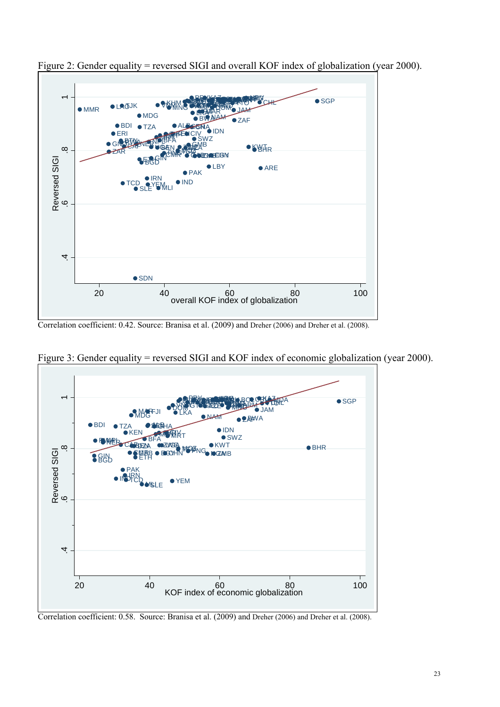

Figure 2: Gender equality = reversed SIGI and overall KOF index of globalization (year 2000).

Correlation coefficient: 0.42. Source: Branisa et al. (2009) and Dreher (2006) and Dreher et al. (2008).



Figure 3: Gender equality = reversed SIGI and KOF index of economic globalization (year 2000).

Correlation coefficient: 0.58. Source: Branisa et al. (2009) and Dreher (2006) and Dreher et al. (2008).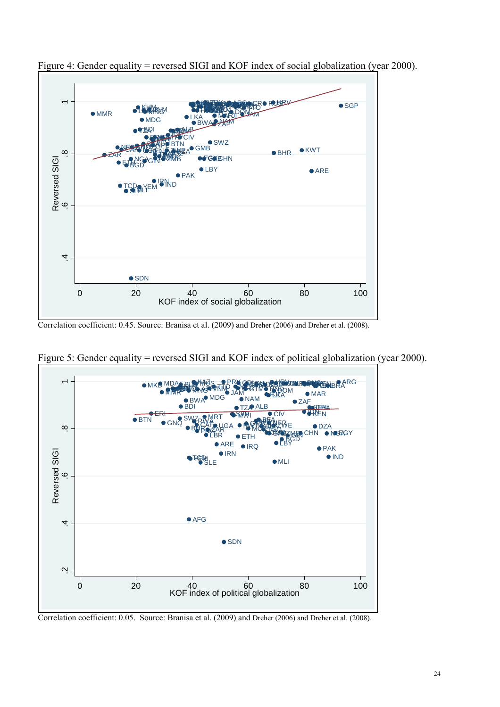

Figure 4: Gender equality = reversed SIGI and KOF index of social globalization (year 2000).

Correlation coefficient: 0.45. Source: Branisa et al. (2009) and Dreher (2006) and Dreher et al. (2008).



Figure 5: Gender equality = reversed SIGI and KOF index of political globalization (year 2000).

Correlation coefficient: 0.05. Source: Branisa et al. (2009) and Dreher (2006) and Dreher et al. (2008).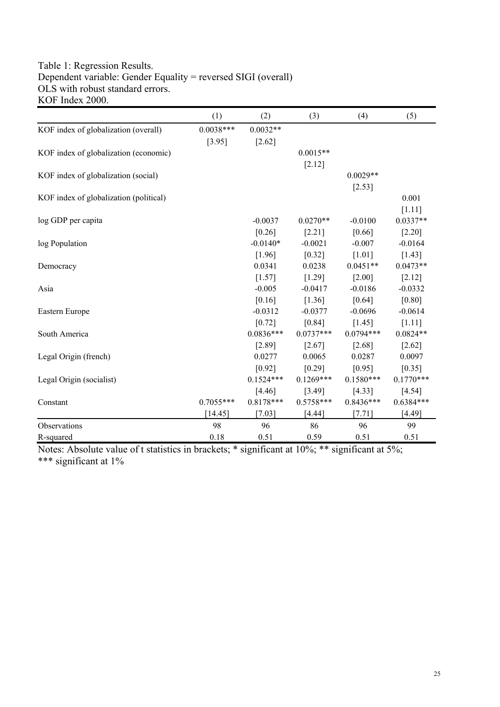# Table 1: Regression Results. Dependent variable: Gender Equality = reversed SIGI (overall) OLS with robust standard errors. KOF Index 2000.

|                                        | (1)         | (2)         | (3)         | (4)         | (5)         |
|----------------------------------------|-------------|-------------|-------------|-------------|-------------|
| KOF index of globalization (overall)   | $0.0038***$ | $0.0032**$  |             |             |             |
|                                        | [3.95]      | $[2.62]$    |             |             |             |
| KOF index of globalization (economic)  |             |             | $0.0015**$  |             |             |
|                                        |             |             | $[2.12]$    |             |             |
| KOF index of globalization (social)    |             |             |             | $0.0029**$  |             |
|                                        |             |             |             | [2.53]      |             |
| KOF index of globalization (political) |             |             |             |             | 0.001       |
|                                        |             |             |             |             | [1.11]      |
| log GDP per capita                     |             | $-0.0037$   | $0.0270**$  | $-0.0100$   | $0.0337**$  |
|                                        |             | [0.26]      | [2.21]      | [0.66]      | [2.20]      |
| log Population                         |             | $-0.0140*$  | $-0.0021$   | $-0.007$    | $-0.0164$   |
|                                        |             | [1.96]      | [0.32]      | $[1.01]$    | $[1.43]$    |
| Democracy                              |             | 0.0341      | 0.0238      | $0.0451**$  | $0.0473**$  |
|                                        |             | [1.57]      | [1.29]      | [2.00]      | [2.12]      |
| Asia                                   |             | $-0.005$    | $-0.0417$   | $-0.0186$   | $-0.0332$   |
|                                        |             | $[0.16]$    | [1.36]      | [0.64]      | $[0.80]$    |
| Eastern Europe                         |             | $-0.0312$   | $-0.0377$   | $-0.0696$   | $-0.0614$   |
|                                        |             | $[0.72]$    | $[0.84]$    | $[1.45]$    | $[1.11]$    |
| South America                          |             | $0.0836***$ | $0.0737***$ | $0.0794***$ | $0.0824**$  |
|                                        |             | [2.89]      | [2.67]      | [2.68]      | $[2.62]$    |
| Legal Origin (french)                  |             | 0.0277      | 0.0065      | 0.0287      | 0.0097      |
|                                        |             | [0.92]      | [0.29]      | [0.95]      | [0.35]      |
| Legal Origin (socialist)               |             | $0.1524***$ | $0.1269***$ | $0.1580***$ | $0.1770***$ |
|                                        |             | [4.46]      | [3.49]      | [4.33]      | $[4.54]$    |
| Constant                               | $0.7055***$ | $0.8178***$ | $0.5758***$ | $0.8436***$ | $0.6384***$ |
|                                        | [14.45]     | [7.03]      | [4.44]      | $[7.71]$    | [4.49]      |
| Observations                           | 98          | 96          | 86          | 96          | 99          |
| R-squared                              | 0.18        | 0.51        | 0.59        | 0.51        | 0.51        |

Notes: Absolute value of t statistics in brackets; \* significant at 10%; \*\* significant at 5%; \*\*\* significant at 1%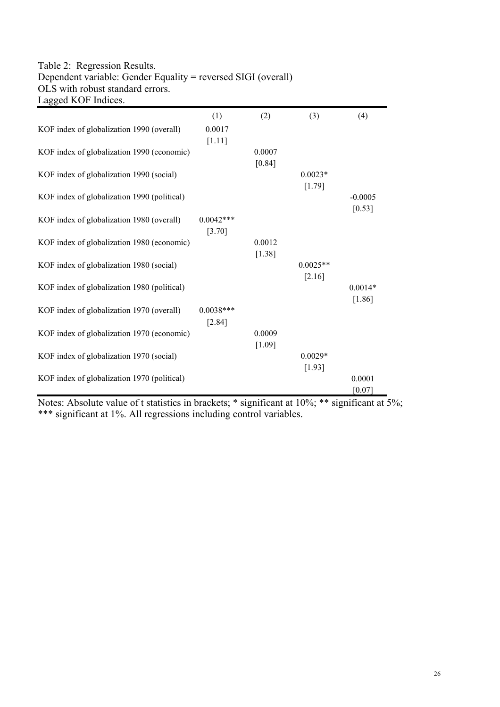### Table 2: Regression Results. Dependent variable: Gender Equality = reversed SIGI (overall) OLS with robust standard errors. Lagged KOF Indices.

| Lagged KOT munes.                           |             |        |            |           |
|---------------------------------------------|-------------|--------|------------|-----------|
|                                             | (1)         | (2)    | (3)        | (4)       |
| KOF index of globalization 1990 (overall)   | 0.0017      |        |            |           |
|                                             | [1.11]      |        |            |           |
| KOF index of globalization 1990 (economic)  |             | 0.0007 |            |           |
|                                             |             | [0.84] |            |           |
| KOF index of globalization 1990 (social)    |             |        | $0.0023*$  |           |
|                                             |             |        |            |           |
|                                             |             |        | $[1.79]$   |           |
| KOF index of globalization 1990 (political) |             |        |            | $-0.0005$ |
|                                             |             |        |            | $[0.53]$  |
| KOF index of globalization 1980 (overall)   | $0.0042***$ |        |            |           |
|                                             | [3.70]      |        |            |           |
| KOF index of globalization 1980 (economic)  |             | 0.0012 |            |           |
|                                             |             | [1.38] |            |           |
| KOF index of globalization 1980 (social)    |             |        | $0.0025**$ |           |
|                                             |             |        | [2.16]     |           |
| KOF index of globalization 1980 (political) |             |        |            | $0.0014*$ |
|                                             |             |        |            | $[1.86]$  |
| KOF index of globalization 1970 (overall)   | $0.0038***$ |        |            |           |
|                                             | [2.84]      |        |            |           |
|                                             |             |        |            |           |
| KOF index of globalization 1970 (economic)  |             | 0.0009 |            |           |
|                                             |             | [1.09] |            |           |
| KOF index of globalization 1970 (social)    |             |        | $0.0029*$  |           |
|                                             |             |        | [1.93]     |           |
| KOF index of globalization 1970 (political) |             |        |            | 0.0001    |
|                                             |             |        |            | $[0.07]$  |

Notes: Absolute value of t statistics in brackets; \* significant at 10%; \*\* significant at 5%; \*\*\* significant at 1%. All regressions including control variables.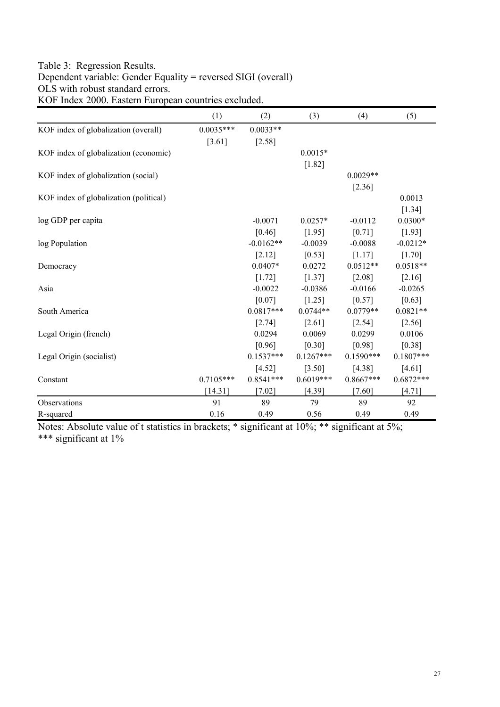# Table 3: Regression Results. Dependent variable: Gender Equality = reversed SIGI (overall) OLS with robust standard errors. KOF Index 2000. Eastern European countries excluded.

|                                        | (1)         | (2)         | (3)         | (4)         | (5)         |
|----------------------------------------|-------------|-------------|-------------|-------------|-------------|
| KOF index of globalization (overall)   | $0.0035***$ | $0.0033**$  |             |             |             |
|                                        | $[3.61]$    | $[2.58]$    |             |             |             |
| KOF index of globalization (economic)  |             |             | $0.0015*$   |             |             |
|                                        |             |             | $[1.82]$    |             |             |
| KOF index of globalization (social)    |             |             |             | $0.0029**$  |             |
|                                        |             |             |             | [2.36]      |             |
| KOF index of globalization (political) |             |             |             |             | 0.0013      |
|                                        |             |             |             |             | $[1.34]$    |
| log GDP per capita                     |             | $-0.0071$   | $0.0257*$   | $-0.0112$   | $0.0300*$   |
|                                        |             | [0.46]      | [1.95]      | [0.71]      | [1.93]      |
| log Population                         |             | $-0.0162**$ | $-0.0039$   | $-0.0088$   | $-0.0212*$  |
|                                        |             | [2.12]      | [0.53]      | [1.17]      | [1.70]      |
| Democracy                              |             | $0.0407*$   | 0.0272      | $0.0512**$  | $0.0518**$  |
|                                        |             | [1.72]      | $[1.37]$    | $[2.08]$    | [2.16]      |
| Asia                                   |             | $-0.0022$   | $-0.0386$   | $-0.0166$   | $-0.0265$   |
|                                        |             | [0.07]      | $[1.25]$    | $[0.57]$    | $[0.63]$    |
| South America                          |             | $0.0817***$ | $0.0744**$  | $0.0779**$  | $0.0821**$  |
|                                        |             | [2.74]      | [2.61]      | $[2.54]$    | $[2.56]$    |
| Legal Origin (french)                  |             | 0.0294      | 0.0069      | 0.0299      | 0.0106      |
|                                        |             | [0.96]      | $[0.30]$    | [0.98]      | [0.38]      |
| Legal Origin (socialist)               |             | $0.1537***$ | $0.1267***$ | $0.1590***$ | $0.1807***$ |
|                                        |             | $[4.52]$    | $[3.50]$    | $[4.38]$    | $[4.61]$    |
| Constant                               | $0.7105***$ | $0.8541***$ | $0.6019***$ | $0.8667***$ | $0.6872***$ |
|                                        | [14.31]     | $[7.02]$    | [4.39]      | $[7.60]$    | [4.71]      |
| Observations                           | 91          | 89          | 79          | 89          | 92          |
| R-squared                              | 0.16        | 0.49        | 0.56        | 0.49        | 0.49        |

Notes: Absolute value of t statistics in brackets; \* significant at 10%; \*\* significant at 5%; \*\*\* significant at 1%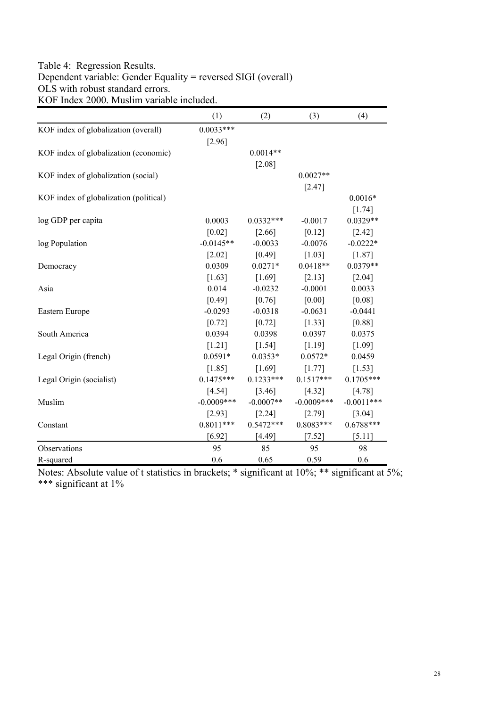# Table 4: Regression Results. Dependent variable: Gender Equality = reversed SIGI (overall) OLS with robust standard errors. KOF Index 2000. Muslim variable included.

|                                        | (1)           | (2)         | (3)          | (4)          |
|----------------------------------------|---------------|-------------|--------------|--------------|
| KOF index of globalization (overall)   | $0.0033***$   |             |              |              |
|                                        | $[2.96]$      |             |              |              |
| KOF index of globalization (economic)  |               | $0.0014**$  |              |              |
|                                        |               | $[2.08]$    |              |              |
| KOF index of globalization (social)    |               |             | $0.0027**$   |              |
|                                        |               |             | $[2.47]$     |              |
| KOF index of globalization (political) |               |             |              | $0.0016*$    |
|                                        |               |             |              | $[1.74]$     |
| log GDP per capita                     | 0.0003        | $0.0332***$ | $-0.0017$    | $0.0329**$   |
|                                        | [0.02]        | [2.66]      | [0.12]       | $[2.42]$     |
| log Population                         | $-0.0145**$   | $-0.0033$   | $-0.0076$    | $-0.0222*$   |
|                                        | $[2.02]$      | $[0.49]$    | $[1.03]$     | [1.87]       |
| Democracy                              | 0.0309        | $0.0271*$   | $0.0418**$   | $0.0379**$   |
|                                        | [1.63]        | $[1.69]$    | [2.13]       | [2.04]       |
| Asia                                   | 0.014         | $-0.0232$   | $-0.0001$    | 0.0033       |
|                                        | [0.49]        | [0.76]      | [0.00]       | [0.08]       |
| Eastern Europe                         | $-0.0293$     | $-0.0318$   | $-0.0631$    | $-0.0441$    |
|                                        | [0.72]        | $[0.72]$    | [1.33]       | [0.88]       |
| South America                          | 0.0394        | 0.0398      | 0.0397       | 0.0375       |
|                                        | $[1.21]$      | $[1.54]$    | [1.19]       | [1.09]       |
| Legal Origin (french)                  | $0.0591*$     | $0.0353*$   | $0.0572*$    | 0.0459       |
|                                        | $[1.85]$      | $[1.69]$    | $[1.77]$     | $[1.53]$     |
| Legal Origin (socialist)               | $0.1475***$   | $0.1233***$ | $0.1517***$  | $0.1705***$  |
|                                        | [4.54]        | $[3.46]$    | [4.32]       | $[4.78]$     |
| Muslim                                 | $-0.0009$ *** | $-0.0007**$ | $-0.0009***$ | $-0.0011***$ |
|                                        | [2.93]        | $[2.24]$    | [2.79]       | [3.04]       |
| Constant                               | $0.8011***$   | $0.5472***$ | $0.8083***$  | $0.6788***$  |
|                                        | [6.92]        | [4.49]      | $[7.52]$     | [5.11]       |
| Observations                           | 95            | 85          | 95           | 98           |
| R-squared                              | 0.6           | 0.65        | 0.59         | 0.6          |

Notes: Absolute value of t statistics in brackets; \* significant at 10%; \*\* significant at 5%; \*\*\* significant at 1%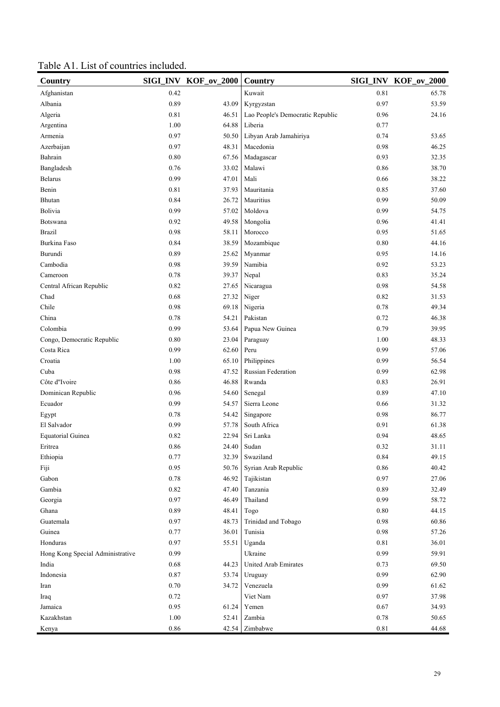| Table A1. List of countries included. |  |  |  |
|---------------------------------------|--|--|--|
|                                       |  |  |  |

| Country                          |      | SIGI_INV KOF_ov_2000 | Country                          |      | SIGI_INV KOF_ov_2000 |
|----------------------------------|------|----------------------|----------------------------------|------|----------------------|
| Afghanistan                      | 0.42 |                      | Kuwait                           | 0.81 | 65.78                |
| Albania                          | 0.89 | 43.09                | Kyrgyzstan                       |      | 53.59                |
| Algeria                          | 0.81 | 46.51                | Lao People's Democratic Republic | 0.96 | 24.16                |
| Argentina                        | 1.00 | 64.88                | Liberia                          | 0.77 |                      |
| Armenia                          | 0.97 | 50.50                | Libyan Arab Jamahiriya           | 0.74 | 53.65                |
| Azerbaijan                       | 0.97 | 48.31                | Macedonia                        | 0.98 | 46.25                |
| Bahrain                          | 0.80 | 67.56                | Madagascar                       | 0.93 | 32.35                |
| Bangladesh                       | 0.76 | 33.02                | Malawi                           | 0.86 | 38.70                |
| <b>Belarus</b>                   | 0.99 | 47.01                | Mali                             | 0.66 | 38.22                |
| Benin                            | 0.81 | 37.93                | Mauritania                       | 0.85 | 37.60                |
| Bhutan                           | 0.84 | 26.72                | Mauritius                        | 0.99 | 50.09                |
| Bolivia                          | 0.99 | 57.02                | Moldova                          | 0.99 | 54.75                |
| Botswana                         | 0.92 | 49.58                | Mongolia                         | 0.96 | 41.41                |
| <b>Brazil</b>                    | 0.98 | 58.11                | Morocco                          | 0.95 | 51.65                |
| Burkina Faso                     | 0.84 | 38.59                | Mozambique                       | 0.80 | 44.16                |
| Burundi                          | 0.89 | 25.62                | Myanmar                          | 0.95 | 14.16                |
| Cambodia                         | 0.98 | 39.59                | Namibia                          | 0.92 | 53.23                |
| Cameroon                         | 0.78 | 39.37                | Nepal                            | 0.83 | 35.24                |
| Central African Republic         | 0.82 | 27.65                | Nicaragua                        | 0.98 | 54.58                |
| Chad                             | 0.68 | 27.32                | Niger                            | 0.82 | 31.53                |
| Chile                            | 0.98 | 69.18                | Nigeria                          | 0.78 | 49.34                |
| China                            | 0.78 | 54.21                | Pakistan                         | 0.72 | 46.38                |
| Colombia                         | 0.99 | 53.64                | Papua New Guinea                 | 0.79 | 39.95                |
| Congo, Democratic Republic       | 0.80 | 23.04                | Paraguay                         | 1.00 | 48.33                |
| Costa Rica                       | 0.99 | 62.60                | Peru                             | 0.99 | 57.06                |
| Croatia                          | 1.00 | 65.10                | Philippines                      | 0.99 | 56.54                |
| Cuba                             | 0.98 | 47.52                | Russian Federation               | 0.99 | 62.98                |
| Côte d"Ivoire                    | 0.86 | 46.88                | Rwanda                           | 0.83 | 26.91                |
| Dominican Republic               | 0.96 | 54.60                | Senegal                          | 0.89 | 47.10                |
| Ecuador                          | 0.99 | 54.57                | Sierra Leone                     | 0.66 | 31.32                |
| Egypt                            | 0.78 | 54.42                | Singapore                        | 0.98 | 86.77                |
| El Salvador                      | 0.99 | 57.78                | South Africa                     | 0.91 | 61.38                |
| <b>Equatorial Guinea</b>         | 0.82 | 22.94                | Sri Lanka                        | 0.94 | 48.65                |
| Eritrea                          | 0.86 | 24.40                | Sudan                            | 0.32 | 31.11                |
| Ethiopia                         | 0.77 | 32.39                | Swaziland                        | 0.84 | 49.15                |
| Fiji                             | 0.95 | 50.76                | Syrian Arab Republic             | 0.86 | 40.42                |
| Gabon                            | 0.78 | 46.92                | Tajikistan                       | 0.97 | 27.06                |
| Gambia                           | 0.82 | 47.40                | Tanzania                         | 0.89 | 32.49                |
| Georgia                          | 0.97 | 46.49                | Thailand                         | 0.99 | 58.72                |
| Ghana                            | 0.89 | 48.41                | Togo                             | 0.80 | 44.15                |
| Guatemala                        | 0.97 | 48.73                | Trinidad and Tobago              | 0.98 | 60.86                |
| Guinea                           | 0.77 | 36.01                | Tunisia                          | 0.98 | 57.26                |
| Honduras                         | 0.97 | 55.51                | Uganda                           | 0.81 | 36.01                |
| Hong Kong Special Administrative | 0.99 |                      | Ukraine                          | 0.99 | 59.91                |
| India                            | 0.68 | 44.23                | United Arab Emirates             | 0.73 | 69.50                |
| Indonesia                        | 0.87 | 53.74                | Uruguay                          | 0.99 | 62.90                |
| Iran                             | 0.70 | 34.72                | Venezuela                        | 0.99 | 61.62                |
| Iraq                             | 0.72 |                      | Viet Nam                         | 0.97 | 37.98                |
| Jamaica                          | 0.95 | 61.24                | Yemen                            | 0.67 | 34.93                |
| Kazakhstan                       | 1.00 | 52.41                | Zambia                           | 0.78 | 50.65                |
| Kenya                            | 0.86 | 42.54                | Zimbabwe                         | 0.81 | 44.68                |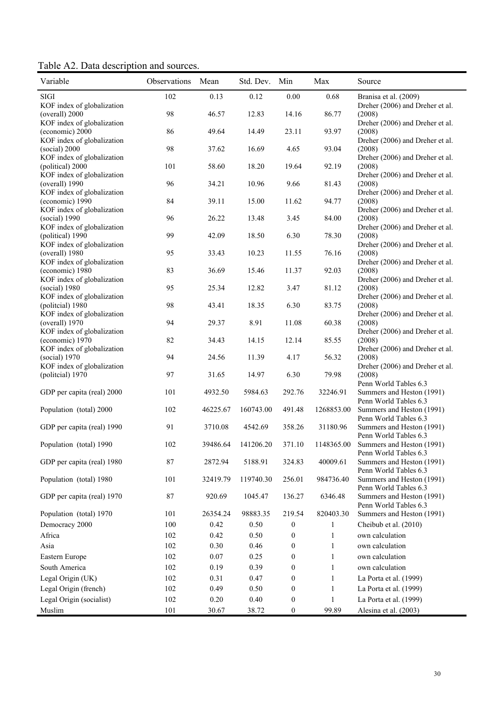Table A2. Data description and sources.

| Variable                                       | Observations | Mean     | Std. Dev. Min |                  | Max          | Source                                                   |
|------------------------------------------------|--------------|----------|---------------|------------------|--------------|----------------------------------------------------------|
| SIGI<br>KOF index of globalization             | 102          | 0.13     | 0.12          | $0.00\,$         | 0.68         | Branisa et al. (2009)<br>Dreher (2006) and Dreher et al. |
| (overall) 2000                                 | 98           | 46.57    | 12.83         | 14.16            | 86.77        | (2008)                                                   |
| KOF index of globalization<br>(economic) 2000  | 86           | 49.64    | 14.49         | 23.11            | 93.97        | Dreher (2006) and Dreher et al.<br>(2008)                |
| KOF index of globalization<br>(social) 2000    | 98           | 37.62    | 16.69         | 4.65             | 93.04        | Dreher (2006) and Dreher et al.<br>(2008)                |
| KOF index of globalization<br>(political) 2000 | 101          | 58.60    | 18.20         | 19.64            | 92.19        | Dreher (2006) and Dreher et al.<br>(2008)                |
| KOF index of globalization<br>(overall) 1990   | 96           | 34.21    | 10.96         | 9.66             | 81.43        | Dreher (2006) and Dreher et al.<br>(2008)                |
| KOF index of globalization<br>(economic) 1990  | 84           | 39.11    | 15.00         | 11.62            | 94.77        | Dreher (2006) and Dreher et al.<br>(2008)                |
| KOF index of globalization<br>(social) 1990    | 96           | 26.22    | 13.48         | 3.45             | 84.00        | Dreher (2006) and Dreher et al.<br>(2008)                |
| KOF index of globalization<br>(political) 1990 | 99           | 42.09    | 18.50         | 6.30             | 78.30        | Dreher (2006) and Dreher et al.<br>(2008)                |
| KOF index of globalization<br>(overall) 1980   | 95           | 33.43    | 10.23         | 11.55            | 76.16        | Dreher (2006) and Dreher et al.<br>(2008)                |
| KOF index of globalization<br>(economic) 1980  | 83           | 36.69    | 15.46         | 11.37            | 92.03        | Dreher (2006) and Dreher et al.<br>(2008)                |
| KOF index of globalization<br>(social) 1980    | 95           | 25.34    | 12.82         | 3.47             | 81.12        | Dreher (2006) and Dreher et al.<br>(2008)                |
| KOF index of globalization<br>(politcial) 1980 | 98           | 43.41    | 18.35         | 6.30             | 83.75        | Dreher (2006) and Dreher et al.<br>(2008)                |
| KOF index of globalization<br>(overall) 1970   | 94           | 29.37    | 8.91          | 11.08            | 60.38        | Dreher (2006) and Dreher et al.<br>(2008)                |
| KOF index of globalization<br>(economic) 1970  | 82           | 34.43    | 14.15         | 12.14            | 85.55        | Dreher (2006) and Dreher et al.<br>(2008)                |
| KOF index of globalization<br>(social) 1970    | 94           | 24.56    | 11.39         | 4.17             | 56.32        | Dreher (2006) and Dreher et al.<br>(2008)                |
| KOF index of globalization<br>(politcial) 1970 | 97           | 31.65    | 14.97         | 6.30             | 79.98        | Dreher (2006) and Dreher et al.<br>(2008)                |
| GDP per capita (real) 2000                     | 101          | 4932.50  | 5984.63       | 292.76           | 32246.91     | Penn World Tables 6.3<br>Summers and Heston (1991)       |
| Population (total) 2000                        | 102          | 46225.67 | 160743.00     | 491.48           | 1268853.00   | Penn World Tables 6.3<br>Summers and Heston (1991)       |
| GDP per capita (real) 1990                     | 91           | 3710.08  | 4542.69       | 358.26           | 31180.96     | Penn World Tables 6.3<br>Summers and Heston (1991)       |
| Population (total) 1990                        | 102          | 39486.64 | 141206.20     | 371.10           | 1148365.00   | Penn World Tables 6.3<br>Summers and Heston (1991)       |
| GDP per capita (real) 1980                     | $\bf 87$     | 2872.94  | 5188.91       | 324.83           | 40009.61     | Penn World Tables 6.3<br>Summers and Heston (1991)       |
| Population (total) 1980                        | 101          | 32419.79 | 119740.30     | 256.01           | 984736.40    | Penn World Tables 6.3<br>Summers and Heston (1991)       |
| GDP per capita (real) 1970                     | 87           | 920.69   | 1045.47       | 136.27           | 6346.48      | Penn World Tables 6.3<br>Summers and Heston (1991)       |
| Population (total) 1970                        | 101          | 26354.24 | 98883.35      | 219.54           | 820403.30    | Penn World Tables 6.3<br>Summers and Heston (1991)       |
| Democracy 2000                                 | 100          | 0.42     | 0.50          | $\boldsymbol{0}$ | 1            | Cheibub et al. (2010)                                    |
| Africa                                         | 102          | 0.42     | 0.50          | $\boldsymbol{0}$ | $\mathbf{1}$ | own calculation                                          |
| Asia                                           | 102          | 0.30     | 0.46          | $\boldsymbol{0}$ | 1            | own calculation                                          |
|                                                |              |          |               |                  |              |                                                          |
| Eastern Europe                                 | 102          | $0.07\,$ | 0.25          | $\boldsymbol{0}$ | 1            | own calculation                                          |
| South America                                  | 102          | 0.19     | 0.39          | $\boldsymbol{0}$ | $\mathbf{1}$ | own calculation                                          |
| Legal Origin (UK)                              | 102          | 0.31     | 0.47          | $\theta$         | 1            | La Porta et al. (1999)                                   |
| Legal Origin (french)                          | 102          | 0.49     | 0.50          | $\theta$         | 1            | La Porta et al. (1999)                                   |
| Legal Origin (socialist)                       | 102          | 0.20     | 0.40          | $\boldsymbol{0}$ | 1            | La Porta et al. (1999)                                   |
| Muslim                                         | 101          | 30.67    | 38.72         | $\boldsymbol{0}$ | 99.89        | Alesina et al. (2003)                                    |